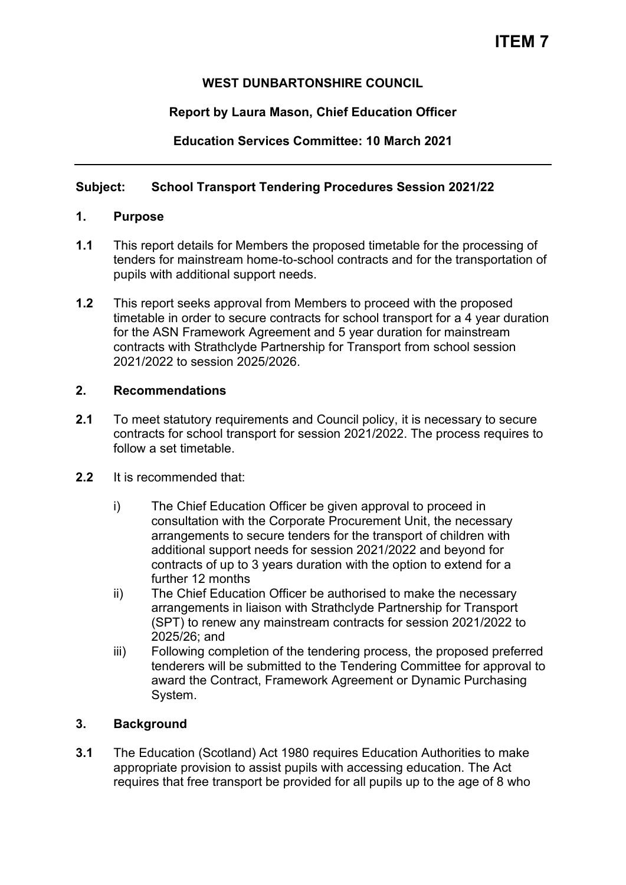# **WEST DUNBARTONSHIRE COUNCIL**

# **Report by Laura Mason, Chief Education Officer**

**Education Services Committee: 10 March 2021** 

# **Subject: School Transport Tendering Procedures Session 2021/22**

# **1. Purpose**

- **1.1** This report details for Members the proposed timetable for the processing of tenders for mainstream home-to-school contracts and for the transportation of pupils with additional support needs.
- **1.2** This report seeks approval from Members to proceed with the proposed timetable in order to secure contracts for school transport for a 4 year duration for the ASN Framework Agreement and 5 year duration for mainstream contracts with Strathclyde Partnership for Transport from school session 2021/2022 to session 2025/2026.

# **2. Recommendations**

**2.1** To meet statutory requirements and Council policy, it is necessary to secure contracts for school transport for session 2021/2022. The process requires to follow a set timetable.

## **2.2** It is recommended that:

- i) The Chief Education Officer be given approval to proceed in consultation with the Corporate Procurement Unit, the necessary arrangements to secure tenders for the transport of children with additional support needs for session 2021/2022 and beyond for contracts of up to 3 years duration with the option to extend for a further 12 months
- ii) The Chief Education Officer be authorised to make the necessary arrangements in liaison with Strathclyde Partnership for Transport (SPT) to renew any mainstream contracts for session 2021/2022 to 2025/26; and
- iii) Following completion of the tendering process, the proposed preferred tenderers will be submitted to the Tendering Committee for approval to award the Contract, Framework Agreement or Dynamic Purchasing System.

# **3. Background**

**3.1** The Education (Scotland) Act 1980 requires Education Authorities to make appropriate provision to assist pupils with accessing education. The Act requires that free transport be provided for all pupils up to the age of 8 who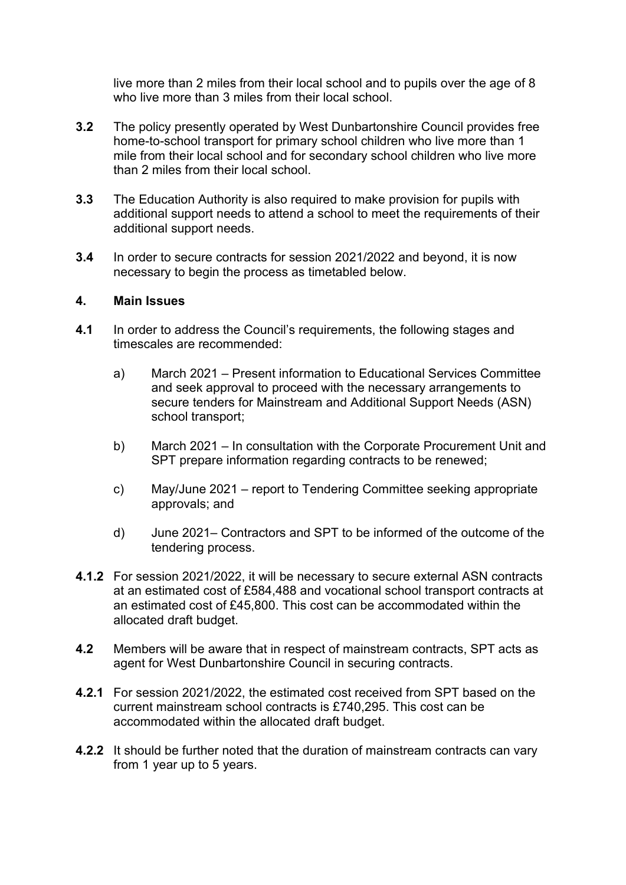live more than 2 miles from their local school and to pupils over the age of 8 who live more than 3 miles from their local school.

- **3.2** The policy presently operated by West Dunbartonshire Council provides free home-to-school transport for primary school children who live more than 1 mile from their local school and for secondary school children who live more than 2 miles from their local school.
- **3.3** The Education Authority is also required to make provision for pupils with additional support needs to attend a school to meet the requirements of their additional support needs.
- **3.4** In order to secure contracts for session 2021/2022 and beyond, it is now necessary to begin the process as timetabled below.

#### **4. Main Issues**

- **4.1** In order to address the Council's requirements, the following stages and timescales are recommended:
	- a) March 2021 Present information to Educational Services Committee and seek approval to proceed with the necessary arrangements to secure tenders for Mainstream and Additional Support Needs (ASN) school transport;
	- b) March 2021 In consultation with the Corporate Procurement Unit and SPT prepare information regarding contracts to be renewed;
	- c) May/June 2021 report to Tendering Committee seeking appropriate approvals; and
	- d) June 2021– Contractors and SPT to be informed of the outcome of the tendering process.
- **4.1.2** For session 2021/2022, it will be necessary to secure external ASN contracts at an estimated cost of £584,488 and vocational school transport contracts at an estimated cost of £45,800. This cost can be accommodated within the allocated draft budget.
- **4.2** Members will be aware that in respect of mainstream contracts, SPT acts as agent for West Dunbartonshire Council in securing contracts.
- **4.2.1** For session 2021/2022, the estimated cost received from SPT based on the current mainstream school contracts is £740,295. This cost can be accommodated within the allocated draft budget.
- **4.2.2** It should be further noted that the duration of mainstream contracts can vary from 1 year up to 5 years.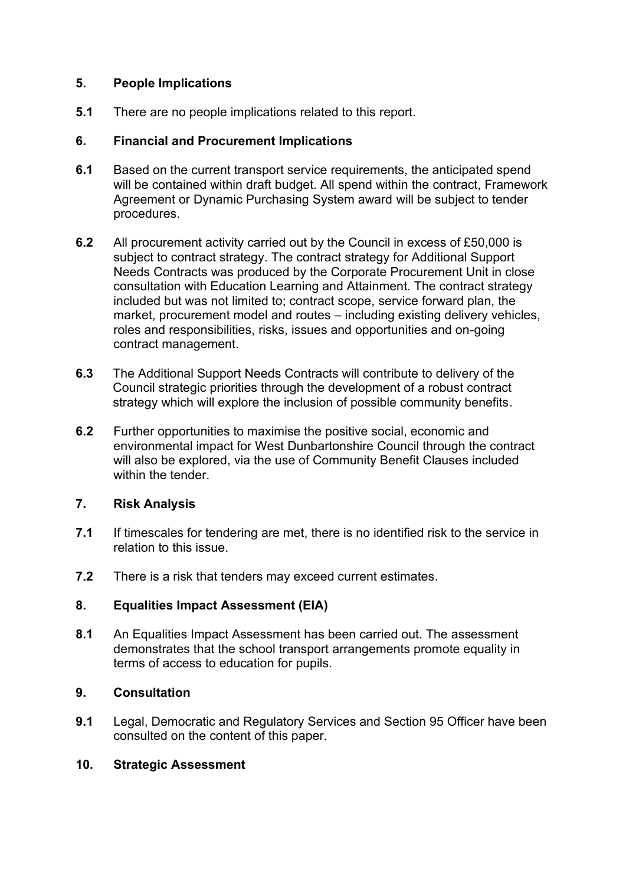# **5. People Implications**

**5.1** There are no people implications related to this report.

## **6. Financial and Procurement Implications**

- **6.1** Based on the current transport service requirements, the anticipated spend will be contained within draft budget. All spend within the contract, Framework Agreement or Dynamic Purchasing System award will be subject to tender procedures.
- **6.2** All procurement activity carried out by the Council in excess of £50,000 is subject to contract strategy. The contract strategy for Additional Support Needs Contracts was produced by the Corporate Procurement Unit in close consultation with Education Learning and Attainment. The contract strategy included but was not limited to; contract scope, service forward plan, the market, procurement model and routes – including existing delivery vehicles, roles and responsibilities, risks, issues and opportunities and on-going contract management.
- **6.3** The Additional Support Needs Contracts will contribute to delivery of the Council strategic priorities through the development of a robust contract strategy which will explore the inclusion of possible community benefits.
- **6.2** Further opportunities to maximise the positive social, economic and environmental impact for West Dunbartonshire Council through the contract will also be explored, via the use of Community Benefit Clauses included within the tender.

## **7. Risk Analysis**

- **7.1** If timescales for tendering are met, there is no identified risk to the service in relation to this issue.
- **7.2** There is a risk that tenders may exceed current estimates.

## **8. Equalities Impact Assessment (EIA)**

**8.1** An Equalities Impact Assessment has been carried out. The assessment demonstrates that the school transport arrangements promote equality in terms of access to education for pupils.

## **9. Consultation**

**9.1** Legal, Democratic and Regulatory Services and Section 95 Officer have been consulted on the content of this paper.

## **10. Strategic Assessment**